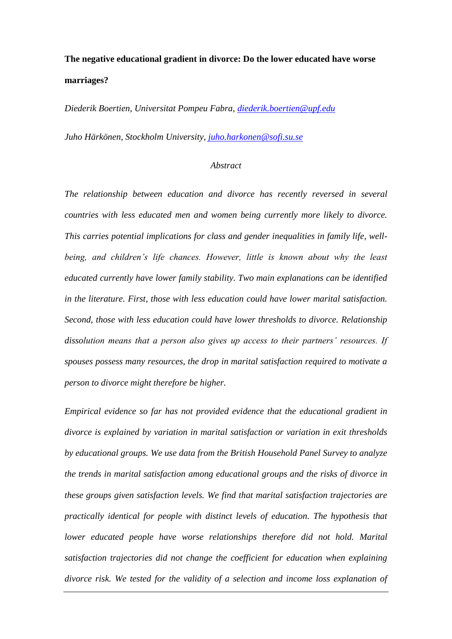# **The negative educational gradient in divorce: Do the lower educated have worse marriages?**

*Diederik Boertien, Universitat Pompeu Fabra, [diederik.boertien@upf.edu](mailto:diederik.boertien@upf.edu)*

*Juho Härkönen, Stockholm University, [juho.harkonen@sofi.su.se](mailto:juho.harkonen@sofi.su.se)*

#### *Abstract*

*The relationship between education and divorce has recently reversed in several countries with less educated men and women being currently more likely to divorce. This carries potential implications for class and gender inequalities in family life, wellbeing, and children's life chances. However, little is known about why the least educated currently have lower family stability. Two main explanations can be identified in the literature. First, those with less education could have lower marital satisfaction. Second, those with less education could have lower thresholds to divorce. Relationship dissolution means that a person also gives up access to their partners' resources. If spouses possess many resources, the drop in marital satisfaction required to motivate a person to divorce might therefore be higher.* 

*Empirical evidence so far has not provided evidence that the educational gradient in divorce is explained by variation in marital satisfaction or variation in exit thresholds by educational groups. We use data from the British Household Panel Survey to analyze the trends in marital satisfaction among educational groups and the risks of divorce in these groups given satisfaction levels. We find that marital satisfaction trajectories are practically identical for people with distinct levels of education. The hypothesis that lower educated people have worse relationships therefore did not hold. Marital satisfaction trajectories did not change the coefficient for education when explaining divorce risk. We tested for the validity of a selection and income loss explanation of*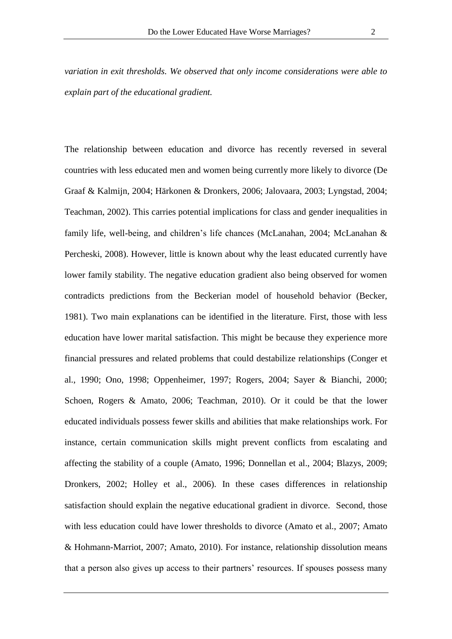*variation in exit thresholds. We observed that only income considerations were able to explain part of the educational gradient.* 

The relationship between education and divorce has recently reversed in several countries with less educated men and women being currently more likely to divorce (De Graaf & Kalmijn, 2004; Härkonen & Dronkers, 2006; Jalovaara, 2003; Lyngstad, 2004; Teachman, 2002). This carries potential implications for class and gender inequalities in family life, well-being, and children's life chances (McLanahan, 2004; McLanahan & Percheski, 2008). However, little is known about why the least educated currently have lower family stability. The negative education gradient also being observed for women contradicts predictions from the Beckerian model of household behavior (Becker, 1981). Two main explanations can be identified in the literature. First, those with less education have lower marital satisfaction. This might be because they experience more financial pressures and related problems that could destabilize relationships (Conger et al., 1990; Ono, 1998; Oppenheimer, 1997; Rogers, 2004; Sayer & Bianchi, 2000; Schoen, Rogers & Amato, 2006; Teachman, 2010). Or it could be that the lower educated individuals possess fewer skills and abilities that make relationships work. For instance, certain communication skills might prevent conflicts from escalating and affecting the stability of a couple (Amato, 1996; Donnellan et al., 2004; Blazys, 2009; Dronkers, 2002; Holley et al., 2006). In these cases differences in relationship satisfaction should explain the negative educational gradient in divorce. Second, those with less education could have lower thresholds to divorce (Amato et al., 2007; Amato & Hohmann-Marriot, 2007; Amato, 2010). For instance, relationship dissolution means that a person also gives up access to their partners' resources. If spouses possess many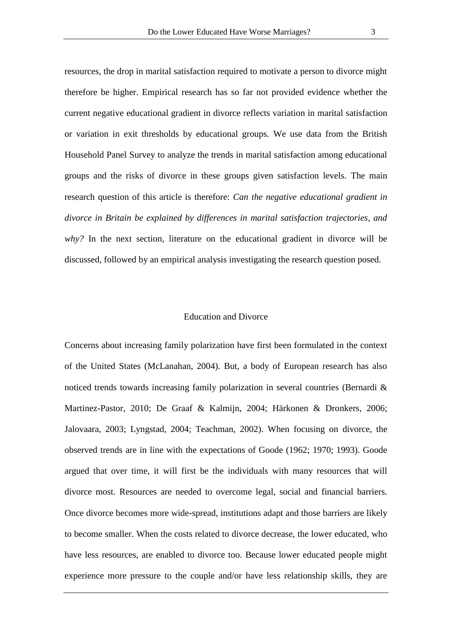resources, the drop in marital satisfaction required to motivate a person to divorce might therefore be higher. Empirical research has so far not provided evidence whether the current negative educational gradient in divorce reflects variation in marital satisfaction or variation in exit thresholds by educational groups. We use data from the British Household Panel Survey to analyze the trends in marital satisfaction among educational groups and the risks of divorce in these groups given satisfaction levels. The main research question of this article is therefore: *Can the negative educational gradient in divorce in Britain be explained by differences in marital satisfaction trajectories, and why?* In the next section, literature on the educational gradient in divorce will be discussed, followed by an empirical analysis investigating the research question posed.

### Education and Divorce

Concerns about increasing family polarization have first been formulated in the context of the United States (McLanahan, 2004). But, a body of European research has also noticed trends towards increasing family polarization in several countries (Bernardi & Martinez-Pastor, 2010; De Graaf & Kalmijn, 2004; Härkonen & Dronkers, 2006; Jalovaara, 2003; Lyngstad, 2004; Teachman, 2002). When focusing on divorce, the observed trends are in line with the expectations of Goode (1962; 1970; 1993). Goode argued that over time, it will first be the individuals with many resources that will divorce most. Resources are needed to overcome legal, social and financial barriers. Once divorce becomes more wide-spread, institutions adapt and those barriers are likely to become smaller. When the costs related to divorce decrease, the lower educated, who have less resources, are enabled to divorce too. Because lower educated people might experience more pressure to the couple and/or have less relationship skills, they are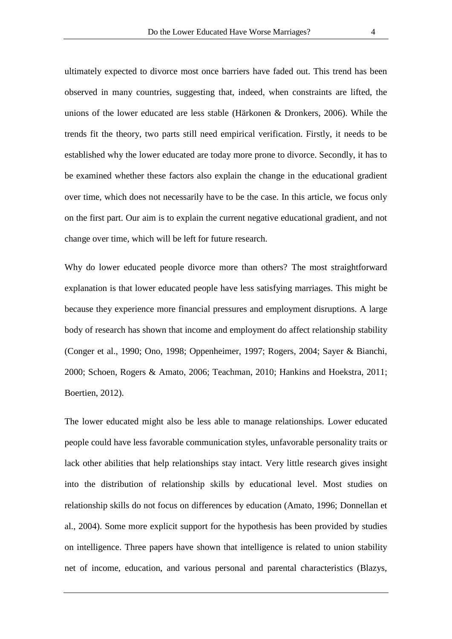ultimately expected to divorce most once barriers have faded out. This trend has been observed in many countries, suggesting that, indeed, when constraints are lifted, the unions of the lower educated are less stable (Härkonen & Dronkers, 2006). While the trends fit the theory, two parts still need empirical verification. Firstly, it needs to be established why the lower educated are today more prone to divorce. Secondly, it has to be examined whether these factors also explain the change in the educational gradient over time, which does not necessarily have to be the case. In this article, we focus only on the first part. Our aim is to explain the current negative educational gradient, and not change over time, which will be left for future research.

Why do lower educated people divorce more than others? The most straightforward explanation is that lower educated people have less satisfying marriages. This might be because they experience more financial pressures and employment disruptions. A large body of research has shown that income and employment do affect relationship stability (Conger et al., 1990; Ono, 1998; Oppenheimer, 1997; Rogers, 2004; Sayer & Bianchi, 2000; Schoen, Rogers & Amato, 2006; Teachman, 2010; Hankins and Hoekstra, 2011; Boertien, 2012).

The lower educated might also be less able to manage relationships. Lower educated people could have less favorable communication styles, unfavorable personality traits or lack other abilities that help relationships stay intact. Very little research gives insight into the distribution of relationship skills by educational level. Most studies on relationship skills do not focus on differences by education (Amato, 1996; Donnellan et al., 2004). Some more explicit support for the hypothesis has been provided by studies on intelligence. Three papers have shown that intelligence is related to union stability net of income, education, and various personal and parental characteristics (Blazys,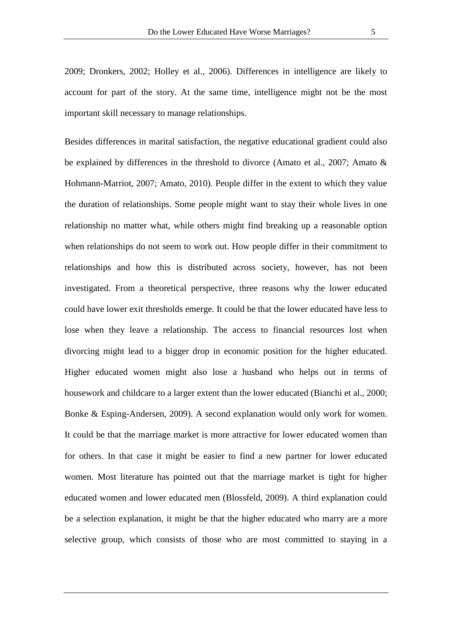2009; Dronkers, 2002; Holley et al., 2006). Differences in intelligence are likely to account for part of the story. At the same time, intelligence might not be the most important skill necessary to manage relationships.

Besides differences in marital satisfaction, the negative educational gradient could also be explained by differences in the threshold to divorce (Amato et al., 2007; Amato & Hohmann-Marriot, 2007; Amato, 2010). People differ in the extent to which they value the duration of relationships. Some people might want to stay their whole lives in one relationship no matter what, while others might find breaking up a reasonable option when relationships do not seem to work out. How people differ in their commitment to relationships and how this is distributed across society, however, has not been investigated. From a theoretical perspective, three reasons why the lower educated could have lower exit thresholds emerge. It could be that the lower educated have less to lose when they leave a relationship. The access to financial resources lost when divorcing might lead to a bigger drop in economic position for the higher educated. Higher educated women might also lose a husband who helps out in terms of housework and childcare to a larger extent than the lower educated (Bianchi et al., 2000; Bonke & Esping-Andersen, 2009). A second explanation would only work for women. It could be that the marriage market is more attractive for lower educated women than for others. In that case it might be easier to find a new partner for lower educated women. Most literature has pointed out that the marriage market is tight for higher educated women and lower educated men (Blossfeld, 2009). A third explanation could be a selection explanation, it might be that the higher educated who marry are a more selective group, which consists of those who are most committed to staying in a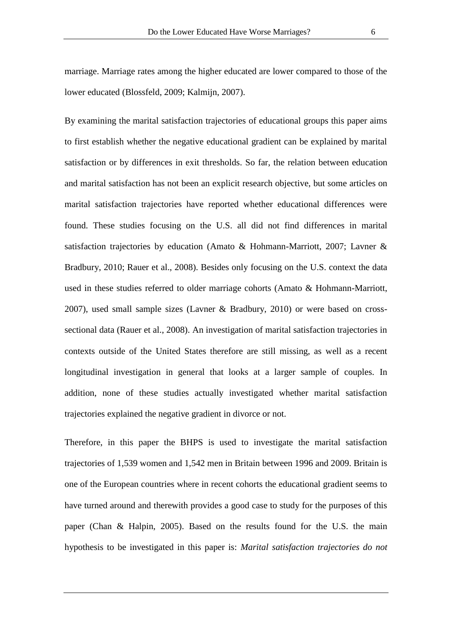marriage. Marriage rates among the higher educated are lower compared to those of the lower educated (Blossfeld, 2009; Kalmijn, 2007).

By examining the marital satisfaction trajectories of educational groups this paper aims to first establish whether the negative educational gradient can be explained by marital satisfaction or by differences in exit thresholds. So far, the relation between education and marital satisfaction has not been an explicit research objective, but some articles on marital satisfaction trajectories have reported whether educational differences were found. These studies focusing on the U.S. all did not find differences in marital satisfaction trajectories by education (Amato & Hohmann-Marriott, 2007; Lavner & Bradbury, 2010; Rauer et al., 2008). Besides only focusing on the U.S. context the data used in these studies referred to older marriage cohorts (Amato & Hohmann-Marriott, 2007), used small sample sizes (Lavner & Bradbury, 2010) or were based on crosssectional data (Rauer et al., 2008). An investigation of marital satisfaction trajectories in contexts outside of the United States therefore are still missing, as well as a recent longitudinal investigation in general that looks at a larger sample of couples. In addition, none of these studies actually investigated whether marital satisfaction trajectories explained the negative gradient in divorce or not.

Therefore, in this paper the BHPS is used to investigate the marital satisfaction trajectories of 1,539 women and 1,542 men in Britain between 1996 and 2009. Britain is one of the European countries where in recent cohorts the educational gradient seems to have turned around and therewith provides a good case to study for the purposes of this paper (Chan & Halpin, 2005). Based on the results found for the U.S. the main hypothesis to be investigated in this paper is: *Marital satisfaction trajectories do not*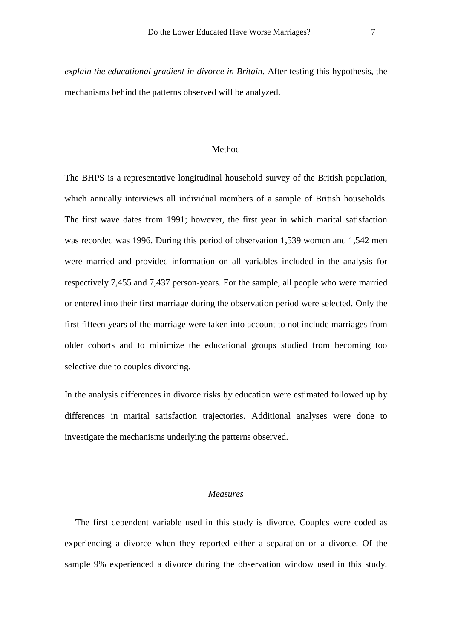*explain the educational gradient in divorce in Britain.* After testing this hypothesis, the mechanisms behind the patterns observed will be analyzed.

#### Method

The BHPS is a representative longitudinal household survey of the British population, which annually interviews all individual members of a sample of British households. The first wave dates from 1991; however, the first year in which marital satisfaction was recorded was 1996. During this period of observation 1,539 women and 1,542 men were married and provided information on all variables included in the analysis for respectively 7,455 and 7,437 person-years. For the sample, all people who were married or entered into their first marriage during the observation period were selected. Only the first fifteen years of the marriage were taken into account to not include marriages from older cohorts and to minimize the educational groups studied from becoming too selective due to couples divorcing.

In the analysis differences in divorce risks by education were estimated followed up by differences in marital satisfaction trajectories. Additional analyses were done to investigate the mechanisms underlying the patterns observed.

## *Measures*

The first dependent variable used in this study is divorce. Couples were coded as experiencing a divorce when they reported either a separation or a divorce. Of the sample 9% experienced a divorce during the observation window used in this study.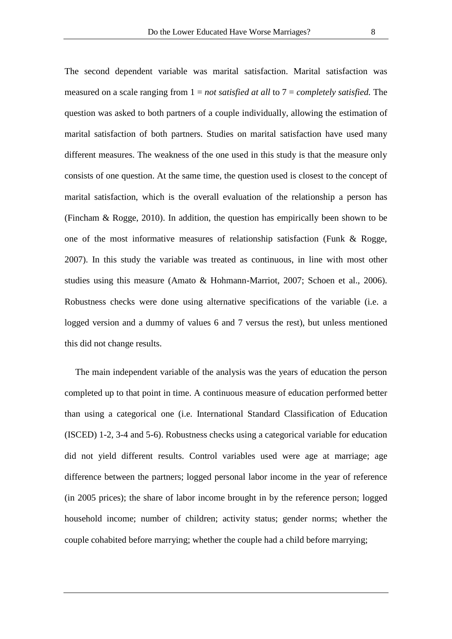The second dependent variable was marital satisfaction. Marital satisfaction was measured on a scale ranging from 1 = *not satisfied at all* to 7 = *completely satisfied.* The question was asked to both partners of a couple individually, allowing the estimation of marital satisfaction of both partners. Studies on marital satisfaction have used many different measures. The weakness of the one used in this study is that the measure only consists of one question. At the same time, the question used is closest to the concept of marital satisfaction, which is the overall evaluation of the relationship a person has (Fincham & Rogge, 2010). In addition, the question has empirically been shown to be one of the most informative measures of relationship satisfaction (Funk & Rogge, 2007). In this study the variable was treated as continuous, in line with most other studies using this measure (Amato & Hohmann-Marriot, 2007; Schoen et al., 2006). Robustness checks were done using alternative specifications of the variable (i.e. a logged version and a dummy of values 6 and 7 versus the rest), but unless mentioned this did not change results.

The main independent variable of the analysis was the years of education the person completed up to that point in time. A continuous measure of education performed better than using a categorical one (i.e. International Standard Classification of Education (ISCED) 1-2, 3-4 and 5-6). Robustness checks using a categorical variable for education did not yield different results. Control variables used were age at marriage; age difference between the partners; logged personal labor income in the year of reference (in 2005 prices); the share of labor income brought in by the reference person; logged household income; number of children; activity status; gender norms; whether the couple cohabited before marrying; whether the couple had a child before marrying;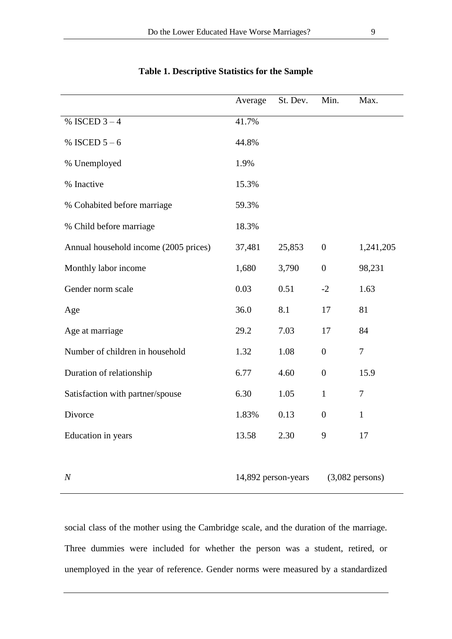|                                       | Average | St. Dev.            | Min.             | Max.              |
|---------------------------------------|---------|---------------------|------------------|-------------------|
| % ISCED $3 - 4$                       | 41.7%   |                     |                  |                   |
| % ISCED $5 - 6$                       | 44.8%   |                     |                  |                   |
| % Unemployed                          | 1.9%    |                     |                  |                   |
| % Inactive                            | 15.3%   |                     |                  |                   |
| % Cohabited before marriage           | 59.3%   |                     |                  |                   |
| % Child before marriage               | 18.3%   |                     |                  |                   |
| Annual household income (2005 prices) | 37,481  | 25,853              | $\overline{0}$   | 1,241,205         |
| Monthly labor income                  | 1,680   | 3,790               | $\boldsymbol{0}$ | 98,231            |
| Gender norm scale                     | 0.03    | 0.51                | $-2$             | 1.63              |
| Age                                   | 36.0    | 8.1                 | 17               | 81                |
| Age at marriage                       | 29.2    | 7.03                | 17               | 84                |
| Number of children in household       | 1.32    | 1.08                | $\overline{0}$   | $\tau$            |
| Duration of relationship              | 6.77    | 4.60                | $\overline{0}$   | 15.9              |
| Satisfaction with partner/spouse      | 6.30    | 1.05                | $\mathbf{1}$     | $\boldsymbol{7}$  |
| Divorce                               | 1.83%   | 0.13                | $\boldsymbol{0}$ | $\mathbf{1}$      |
| Education in years                    | 13.58   | 2.30                | 9                | 17                |
|                                       |         |                     |                  |                   |
| $\boldsymbol{N}$                      |         | 14,892 person-years |                  | $(3,082$ persons) |

## **Table 1. Descriptive Statistics for the Sample**

social class of the mother using the Cambridge scale, and the duration of the marriage. Three dummies were included for whether the person was a student, retired, or unemployed in the year of reference. Gender norms were measured by a standardized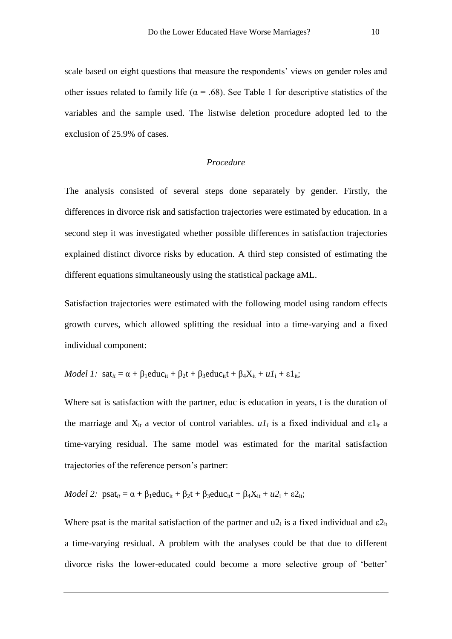scale based on eight questions that measure the respondents' views on gender roles and other issues related to family life ( $\alpha$  = .68). See Table 1 for descriptive statistics of the variables and the sample used. The listwise deletion procedure adopted led to the exclusion of 25.9% of cases.

## *Procedure*

The analysis consisted of several steps done separately by gender. Firstly, the differences in divorce risk and satisfaction trajectories were estimated by education. In a second step it was investigated whether possible differences in satisfaction trajectories explained distinct divorce risks by education. A third step consisted of estimating the different equations simultaneously using the statistical package aML.

Satisfaction trajectories were estimated with the following model using random effects growth curves, which allowed splitting the residual into a time-varying and a fixed individual component:

*Model 1*: 
$$
sat_{it} = \alpha + \beta_1 educ_{it} + \beta_2 t + \beta_3 educ_{it} + \beta_4 X_{it} + uI_i + \epsilon 1_{it}
$$
;

Where sat is satisfaction with the partner, educ is education in years, t is the duration of the marriage and  $X_{it}$  a vector of control variables.  $uI_i$  is a fixed individual and  $\epsilon I_{it}$  a time-varying residual. The same model was estimated for the marital satisfaction trajectories of the reference person"s partner:

*Model 2:* 
$$
psat_{it} = \alpha + \beta_1 educ_{it} + \beta_2t + \beta_3 educ_{it} + \beta_4X_{it} + u_1 + \varepsilon_1t
$$
.

Where psat is the marital satisfaction of the partner and  $u2_i$  is a fixed individual and  $\varepsilon2_{it}$ a time-varying residual. A problem with the analyses could be that due to different divorce risks the lower-educated could become a more selective group of "better"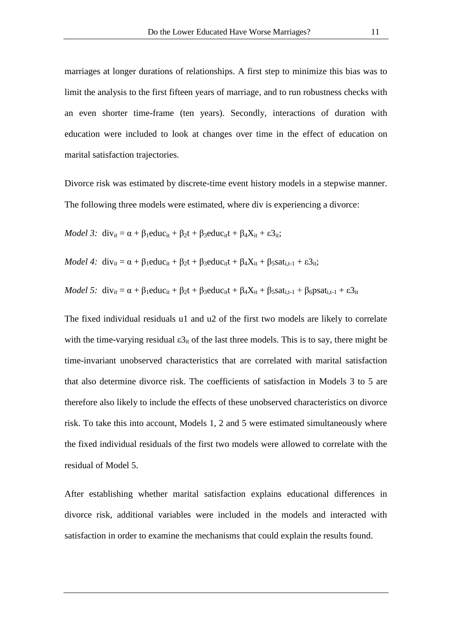marriages at longer durations of relationships. A first step to minimize this bias was to limit the analysis to the first fifteen years of marriage, and to run robustness checks with an even shorter time-frame (ten years). Secondly, interactions of duration with education were included to look at changes over time in the effect of education on marital satisfaction trajectories.

Divorce risk was estimated by discrete-time event history models in a stepwise manner. The following three models were estimated, where div is experiencing a divorce:

*Model 3*: 
$$
div_{it} = \alpha + \beta_1 educ_{it} + \beta_2t + \beta_3 educ_{it} + \beta_4X_{it} + \epsilon_3_{it}
$$

*Model 4*: 
$$
div_{it} = \alpha + \beta_1 educ_{it} + \beta_2t + \beta_3 educ_{it} + \beta_4X_{it} + \beta_5sat_{i,t-1} + \varepsilon3_{it}
$$

*Model 5:*  $div_{it} = \alpha + \beta_1$ educ<sub>it</sub> +  $\beta_2 t + \beta_3$ educ<sub>it</sub>t +  $\beta_4 X_{it} + \beta_5$ sat<sub>i,t-1</sub> +  $\beta_6$ psat<sub>i,t-1</sub> +  $\varepsilon$ 3<sub>it</sub>

The fixed individual residuals u1 and u2 of the first two models are likely to correlate with the time-varying residual  $\epsilon_3$ <sub>it</sub> of the last three models. This is to say, there might be time-invariant unobserved characteristics that are correlated with marital satisfaction that also determine divorce risk. The coefficients of satisfaction in Models 3 to 5 are therefore also likely to include the effects of these unobserved characteristics on divorce risk. To take this into account, Models 1, 2 and 5 were estimated simultaneously where the fixed individual residuals of the first two models were allowed to correlate with the residual of Model 5.

After establishing whether marital satisfaction explains educational differences in divorce risk, additional variables were included in the models and interacted with satisfaction in order to examine the mechanisms that could explain the results found.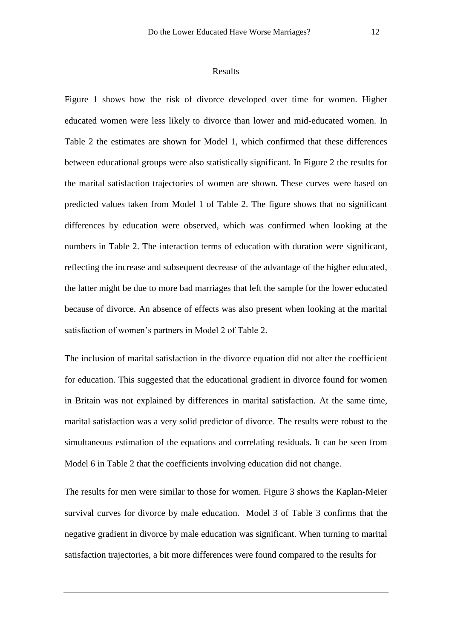#### Results

Figure 1 shows how the risk of divorce developed over time for women. Higher educated women were less likely to divorce than lower and mid-educated women. In Table 2 the estimates are shown for Model 1, which confirmed that these differences between educational groups were also statistically significant. In Figure 2 the results for the marital satisfaction trajectories of women are shown. These curves were based on predicted values taken from Model 1 of Table 2. The figure shows that no significant differences by education were observed, which was confirmed when looking at the numbers in Table 2. The interaction terms of education with duration were significant, reflecting the increase and subsequent decrease of the advantage of the higher educated, the latter might be due to more bad marriages that left the sample for the lower educated because of divorce. An absence of effects was also present when looking at the marital satisfaction of women"s partners in Model 2 of Table 2.

The inclusion of marital satisfaction in the divorce equation did not alter the coefficient for education. This suggested that the educational gradient in divorce found for women in Britain was not explained by differences in marital satisfaction. At the same time, marital satisfaction was a very solid predictor of divorce. The results were robust to the simultaneous estimation of the equations and correlating residuals. It can be seen from Model 6 in Table 2 that the coefficients involving education did not change.

The results for men were similar to those for women. Figure 3 shows the Kaplan-Meier survival curves for divorce by male education. Model 3 of Table 3 confirms that the negative gradient in divorce by male education was significant. When turning to marital satisfaction trajectories, a bit more differences were found compared to the results for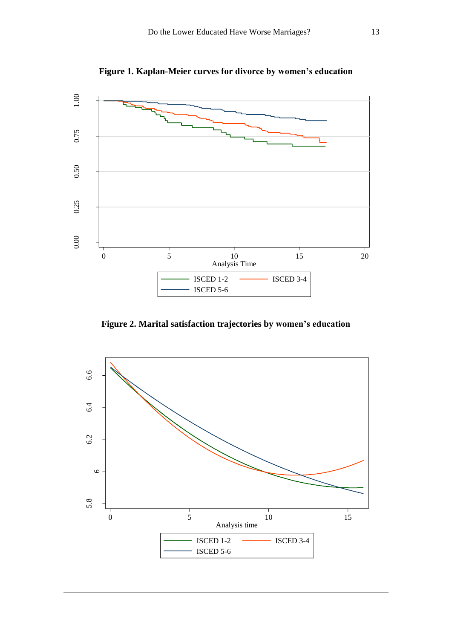

**Figure 1. Kaplan-Meier curves for divorce by women's education**

**Figure 2. Marital satisfaction trajectories by women's education**

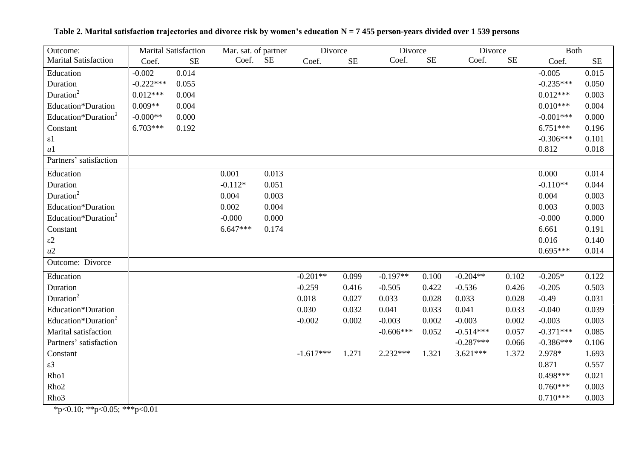| Outcome:                        | <b>Marital Satisfaction</b> |           | Mar. sat. of partner |           | Divorce     |           | Divorce     |          | Divorce     |           | <b>Both</b> |           |
|---------------------------------|-----------------------------|-----------|----------------------|-----------|-------------|-----------|-------------|----------|-------------|-----------|-------------|-----------|
| <b>Marital Satisfaction</b>     | Coef.                       | <b>SE</b> | Coef.                | <b>SE</b> | Coef.       | <b>SE</b> | Coef.       | $\rm SE$ | Coef.       | <b>SE</b> | Coef.       | <b>SE</b> |
| Education                       | $-0.002$                    | 0.014     |                      |           |             |           |             |          |             |           | $-0.005$    | 0.015     |
| Duration                        | $-0.222***$                 | 0.055     |                      |           |             |           |             |          |             |           | $-0.235***$ | 0.050     |
| Duration <sup>2</sup>           | $0.012***$                  | 0.004     |                      |           |             |           |             |          |             |           | $0.012***$  | 0.003     |
| Education*Duration              | $0.009**$                   | 0.004     |                      |           |             |           |             |          |             |           | $0.010***$  | 0.004     |
| Education*Duration <sup>2</sup> | $-0.000**$                  | 0.000     |                      |           |             |           |             |          |             |           | $-0.001***$ | 0.000     |
| Constant                        | 6.703***                    | 0.192     |                      |           |             |           |             |          |             |           | $6.751***$  | 0.196     |
| $\varepsilon$ 1                 |                             |           |                      |           |             |           |             |          |             |           | $-0.306***$ | 0.101     |
| u1                              |                             |           |                      |           |             |           |             |          |             |           | 0.812       | 0.018     |
| Partners' satisfaction          |                             |           |                      |           |             |           |             |          |             |           |             |           |
| Education                       |                             |           | 0.001                | 0.013     |             |           |             |          |             |           | 0.000       | 0.014     |
| Duration                        |                             |           | $-0.112*$            | 0.051     |             |           |             |          |             |           | $-0.110**$  | 0.044     |
| Duration <sup>2</sup>           |                             |           | 0.004                | 0.003     |             |           |             |          |             |           | 0.004       | 0.003     |
| Education*Duration              |                             |           | 0.002                | 0.004     |             |           |             |          |             |           | 0.003       | 0.003     |
| Education*Duration <sup>2</sup> |                             |           | $-0.000$             | 0.000     |             |           |             |          |             |           | $-0.000$    | 0.000     |
| Constant                        |                             |           | $6.647***$           | 0.174     |             |           |             |          |             |           | 6.661       | 0.191     |
| $\varepsilon$ 2                 |                             |           |                      |           |             |           |             |          |             |           | 0.016       | 0.140     |
| u2                              |                             |           |                      |           |             |           |             |          |             |           | $0.695***$  | 0.014     |
| Outcome: Divorce                |                             |           |                      |           |             |           |             |          |             |           |             |           |
| Education                       |                             |           |                      |           | $-0.201**$  | 0.099     | $-0.197**$  | 0.100    | $-0.204**$  | 0.102     | $-0.205*$   | 0.122     |
| Duration                        |                             |           |                      |           | $-0.259$    | 0.416     | $-0.505$    | 0.422    | $-0.536$    | 0.426     | $-0.205$    | 0.503     |
| Duration <sup>2</sup>           |                             |           |                      |           | 0.018       | 0.027     | 0.033       | 0.028    | 0.033       | 0.028     | $-0.49$     | 0.031     |
| Education*Duration              |                             |           |                      |           | 0.030       | 0.032     | 0.041       | 0.033    | 0.041       | 0.033     | $-0.040$    | 0.039     |
| Education*Duration <sup>2</sup> |                             |           |                      |           | $-0.002$    | 0.002     | $-0.003$    | 0.002    | $-0.003$    | 0.002     | $-0.003$    | 0.003     |
| Marital satisfaction            |                             |           |                      |           |             |           | $-0.606***$ | 0.052    | $-0.514***$ | 0.057     | $-0.371***$ | 0.085     |
| Partners' satisfaction          |                             |           |                      |           |             |           |             |          | $-0.287***$ | 0.066     | $-0.386***$ | 0.106     |
| Constant                        |                             |           |                      |           | $-1.617***$ | 1.271     | 2.232***    | 1.321    | $3.621***$  | 1.372     | 2.978*      | 1.693     |
| $\varepsilon$ 3                 |                             |           |                      |           |             |           |             |          |             |           | 0.871       | 0.557     |
| Rho1                            |                             |           |                      |           |             |           |             |          |             |           | $0.498***$  | 0.021     |
| Rho <sub>2</sub>                |                             |           |                      |           |             |           |             |          |             |           | $0.760***$  | 0.003     |
| Rho <sub>3</sub>                |                             |           |                      |           |             |           |             |          |             |           | $0.710***$  | 0.003     |

**Table 2. Marital satisfaction trajectories and divorce risk by women's education N = 7 455 person-years divided over 1 539 persons**

\*p<0.10; \*\*p<0.05; \*\*\*p<0.01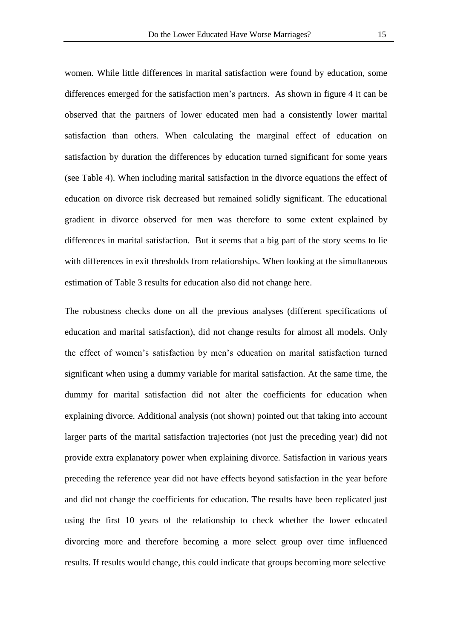women. While little differences in marital satisfaction were found by education, some differences emerged for the satisfaction men's partners. As shown in figure 4 it can be observed that the partners of lower educated men had a consistently lower marital satisfaction than others. When calculating the marginal effect of education on satisfaction by duration the differences by education turned significant for some years (see Table 4). When including marital satisfaction in the divorce equations the effect of education on divorce risk decreased but remained solidly significant. The educational gradient in divorce observed for men was therefore to some extent explained by differences in marital satisfaction. But it seems that a big part of the story seems to lie with differences in exit thresholds from relationships. When looking at the simultaneous estimation of Table 3 results for education also did not change here.

The robustness checks done on all the previous analyses (different specifications of education and marital satisfaction), did not change results for almost all models. Only the effect of women"s satisfaction by men"s education on marital satisfaction turned significant when using a dummy variable for marital satisfaction. At the same time, the dummy for marital satisfaction did not alter the coefficients for education when explaining divorce. Additional analysis (not shown) pointed out that taking into account larger parts of the marital satisfaction trajectories (not just the preceding year) did not provide extra explanatory power when explaining divorce. Satisfaction in various years preceding the reference year did not have effects beyond satisfaction in the year before and did not change the coefficients for education. The results have been replicated just using the first 10 years of the relationship to check whether the lower educated divorcing more and therefore becoming a more select group over time influenced results. If results would change, this could indicate that groups becoming more selective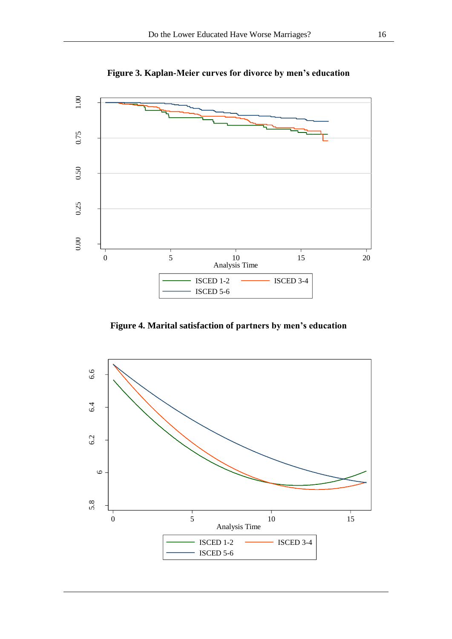

**Figure 3. Kaplan-Meier curves for divorce by men's education**

**Figure 4. Marital satisfaction of partners by men's education**

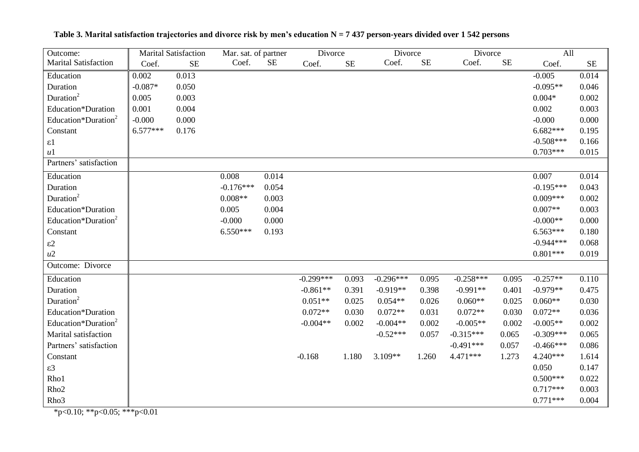| Outcome:                                         | <b>Marital Satisfaction</b> |           | Mar. sat. of partner |           | Divorce     |          | Divorce     |           | Divorce     |          | All         |          |
|--------------------------------------------------|-----------------------------|-----------|----------------------|-----------|-------------|----------|-------------|-----------|-------------|----------|-------------|----------|
| <b>Marital Satisfaction</b>                      | Coef.                       | <b>SE</b> | Coef.                | <b>SE</b> | Coef.       | $\rm SE$ | Coef.       | <b>SE</b> | Coef.       | $\rm SE$ | Coef.       | $\rm SE$ |
| Education                                        | 0.002                       | 0.013     |                      |           |             |          |             |           |             |          | $-0.005$    | 0.014    |
| Duration                                         | $-0.087*$                   | 0.050     |                      |           |             |          |             |           |             |          | $-0.095**$  | 0.046    |
| Duration <sup>2</sup>                            | 0.005                       | 0.003     |                      |           |             |          |             |           |             |          | $0.004*$    | 0.002    |
| Education*Duration                               | 0.001                       | 0.004     |                      |           |             |          |             |           |             |          | 0.002       | 0.003    |
| Education*Duration <sup>2</sup>                  | $-0.000$                    | 0.000     |                      |           |             |          |             |           |             |          | $-0.000$    | 0.000    |
| Constant                                         | $6.577***$                  | 0.176     |                      |           |             |          |             |           |             |          | $6.682***$  | 0.195    |
| $\varepsilon$ 1                                  |                             |           |                      |           |             |          |             |           |             |          | $-0.508***$ | 0.166    |
| u1                                               |                             |           |                      |           |             |          |             |           |             |          | $0.703***$  | 0.015    |
| Partners' satisfaction                           |                             |           |                      |           |             |          |             |           |             |          |             |          |
| Education                                        |                             |           | 0.008                | 0.014     |             |          |             |           |             |          | 0.007       | 0.014    |
| Duration                                         |                             |           | $-0.176***$          | 0.054     |             |          |             |           |             |          | $-0.195***$ | 0.043    |
| Duration <sup>2</sup>                            |                             |           | $0.008**$            | 0.003     |             |          |             |           |             |          | $0.009***$  | 0.002    |
| Education*Duration                               |                             |           | 0.005                | 0.004     |             |          |             |           |             |          | $0.007**$   | 0.003    |
| Education*Duration <sup>2</sup>                  |                             |           | $-0.000$             | 0.000     |             |          |             |           |             |          | $-0.000**$  | 0.000    |
| Constant                                         |                             |           | $6.550***$           | 0.193     |             |          |             |           |             |          | $6.563***$  | 0.180    |
| $\varepsilon$ 2                                  |                             |           |                      |           |             |          |             |           |             |          | $-0.944***$ | 0.068    |
| u2                                               |                             |           |                      |           |             |          |             |           |             |          | $0.801***$  | 0.019    |
| Outcome: Divorce                                 |                             |           |                      |           |             |          |             |           |             |          |             |          |
| Education                                        |                             |           |                      |           | $-0.299***$ | 0.093    | $-0.296***$ | 0.095     | $-0.258***$ | 0.095    | $-0.257**$  | 0.110    |
| Duration                                         |                             |           |                      |           | $-0.861**$  | 0.391    | $-0.919**$  | 0.398     | $-0.991**$  | 0.401    | $-0.979**$  | 0.475    |
| Duration <sup>2</sup>                            |                             |           |                      |           | $0.051**$   | 0.025    | $0.054**$   | 0.026     | $0.060**$   | 0.025    | $0.060**$   | 0.030    |
| Education*Duration                               |                             |           |                      |           | $0.072**$   | 0.030    | $0.072**$   | 0.031     | $0.072**$   | 0.030    | $0.072**$   | 0.036    |
| Education*Duration <sup>2</sup>                  |                             |           |                      |           | $-0.004**$  | 0.002    | $-0.004**$  | 0.002     | $-0.005**$  | 0.002    | $-0.005**$  | 0.002    |
| Marital satisfaction                             |                             |           |                      |           |             |          | $-0.52***$  | 0.057     | $-0.315***$ | 0.065    | $-0.309***$ | 0.065    |
| Partners' satisfaction                           |                             |           |                      |           |             |          |             |           | $-0.491***$ | 0.057    | $-0.466***$ | 0.086    |
| Constant                                         |                             |           |                      |           | $-0.168$    | 1.180    | 3.109**     | 1.260     | 4.471***    | 1.273    | 4.240***    | 1.614    |
| $\varepsilon$ 3                                  |                             |           |                      |           |             |          |             |           |             |          | 0.050       | 0.147    |
| Rho1                                             |                             |           |                      |           |             |          |             |           |             |          | $0.500***$  | 0.022    |
| Rho <sub>2</sub>                                 |                             |           |                      |           |             |          |             |           |             |          | $0.717***$  | 0.003    |
| Rho3<br>0.10 <sub>10</sub><br>$QQ = \frac{1}{2}$ | $\bigcap$ $\bigcap$ 1       |           |                      |           |             |          |             |           |             |          | $0.771***$  | 0.004    |

**Table 3. Marital satisfaction trajectories and divorce risk by men's education N = 7 437 person-years divided over 1 542 persons**

\*p<0.10; \*\*p<0.05; \*\*\*p<0.01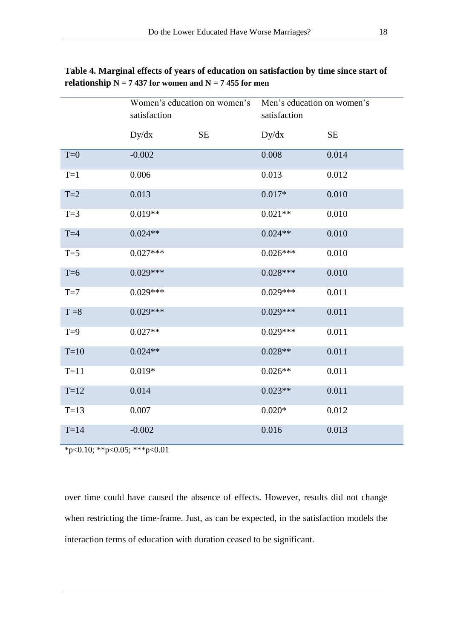|         | Women's education on women's<br>satisfaction |    | Men's education on women's<br>satisfaction |           |  |  |  |
|---------|----------------------------------------------|----|--------------------------------------------|-----------|--|--|--|
|         | Dy/dx                                        | SE | Dy/dx                                      | <b>SE</b> |  |  |  |
| $T=0$   | $-0.002$                                     |    | 0.008                                      | 0.014     |  |  |  |
| $T=1$   | 0.006                                        |    | 0.013                                      | 0.012     |  |  |  |
| $T=2$   | 0.013                                        |    | $0.017*$                                   | 0.010     |  |  |  |
| $T=3$   | $0.019**$                                    |    | $0.021**$                                  | 0.010     |  |  |  |
| $T=4$   | $0.024**$                                    |    | $0.024**$                                  | 0.010     |  |  |  |
| $T=5$   | $0.027***$                                   |    | $0.026***$                                 | 0.010     |  |  |  |
| $T=6$   | $0.029***$                                   |    | $0.028***$                                 | 0.010     |  |  |  |
| $T=7$   | $0.029***$                                   |    | $0.029***$                                 | 0.011     |  |  |  |
| $T = 8$ | $0.029***$                                   |    | $0.029***$                                 | 0.011     |  |  |  |
| $T=9$   | $0.027**$                                    |    | $0.029***$                                 | 0.011     |  |  |  |
| $T=10$  | $0.024**$                                    |    | $0.028**$                                  | 0.011     |  |  |  |
| $T=11$  | $0.019*$                                     |    | $0.026**$                                  | 0.011     |  |  |  |
| $T=12$  | 0.014                                        |    | $0.023**$                                  | 0.011     |  |  |  |
| $T=13$  | 0.007                                        |    | $0.020*$                                   | 0.012     |  |  |  |
| $T=14$  | $-0.002$                                     |    | 0.016                                      | 0.013     |  |  |  |

**Table 4. Marginal effects of years of education on satisfaction by time since start of relationship**  $N = 7437$  **for women and**  $N = 7455$  **for men** 

 $*p<0.10$ ;  $*p<0.05$ ;  $**p<0.01$ 

over time could have caused the absence of effects. However, results did not change when restricting the time-frame. Just, as can be expected, in the satisfaction models the interaction terms of education with duration ceased to be significant.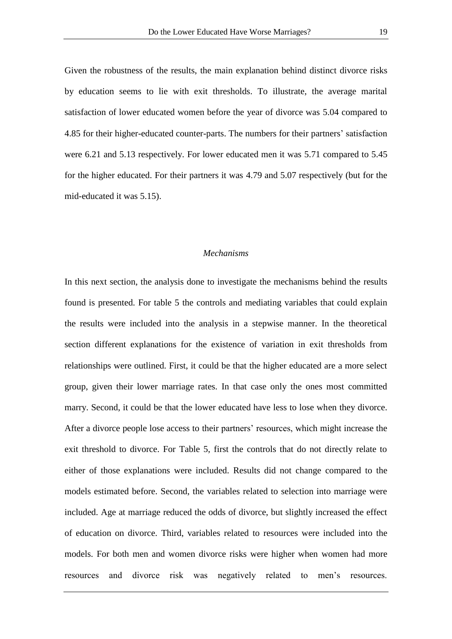Given the robustness of the results, the main explanation behind distinct divorce risks by education seems to lie with exit thresholds. To illustrate, the average marital satisfaction of lower educated women before the year of divorce was 5.04 compared to 4.85 for their higher-educated counter-parts. The numbers for their partners" satisfaction were 6.21 and 5.13 respectively. For lower educated men it was 5.71 compared to 5.45 for the higher educated. For their partners it was 4.79 and 5.07 respectively (but for the mid-educated it was 5.15).

### *Mechanisms*

In this next section, the analysis done to investigate the mechanisms behind the results found is presented. For table 5 the controls and mediating variables that could explain the results were included into the analysis in a stepwise manner. In the theoretical section different explanations for the existence of variation in exit thresholds from relationships were outlined. First, it could be that the higher educated are a more select group, given their lower marriage rates. In that case only the ones most committed marry. Second, it could be that the lower educated have less to lose when they divorce. After a divorce people lose access to their partners' resources, which might increase the exit threshold to divorce. For Table 5, first the controls that do not directly relate to either of those explanations were included. Results did not change compared to the models estimated before. Second, the variables related to selection into marriage were included. Age at marriage reduced the odds of divorce, but slightly increased the effect of education on divorce. Third, variables related to resources were included into the models. For both men and women divorce risks were higher when women had more resources and divorce risk was negatively related to men"s resources.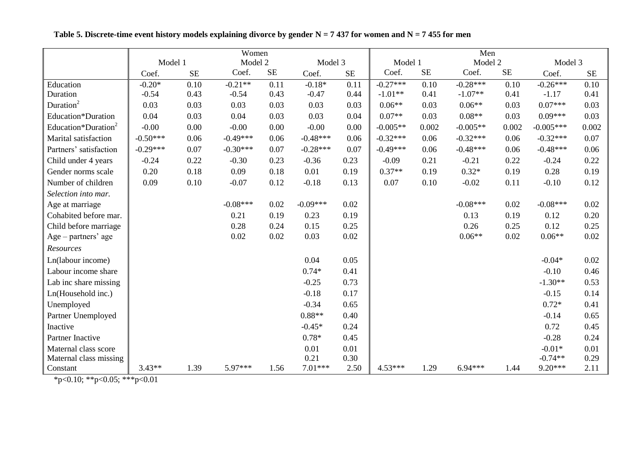|                                 | Women      |          |            |          |            |      | Men        |          |            |          |             |           |  |
|---------------------------------|------------|----------|------------|----------|------------|------|------------|----------|------------|----------|-------------|-----------|--|
|                                 | Model 1    |          | Model 2    |          | Model 3    |      | Model 1    |          | Model 2    |          | Model 3     |           |  |
|                                 | Coef.      | $\rm SE$ | Coef.      | $\rm SE$ | Coef.      | SE   | Coef.      | $\rm SE$ | Coef.      | $\rm SE$ | Coef.       | <b>SE</b> |  |
| Education                       | $-0.20*$   | 0.10     | $-0.21**$  | 0.11     | $-0.18*$   | 0.11 | $-0.27***$ | 0.10     | $-0.28***$ | 0.10     | $-0.26***$  | 0.10      |  |
| Duration                        | $-0.54$    | 0.43     | $-0.54$    | 0.43     | $-0.47$    | 0.44 | $-1.01**$  | 0.41     | $-1.07**$  | 0.41     | $-1.17$     | 0.41      |  |
| Duration <sup>2</sup>           | 0.03       | 0.03     | 0.03       | 0.03     | 0.03       | 0.03 | $0.06**$   | 0.03     | $0.06**$   | 0.03     | $0.07***$   | 0.03      |  |
| Education*Duration              | 0.04       | 0.03     | 0.04       | 0.03     | 0.03       | 0.04 | $0.07**$   | 0.03     | $0.08**$   | 0.03     | $0.09***$   | 0.03      |  |
| Education*Duration <sup>2</sup> | $-0.00$    | 0.00     | $-0.00$    | 0.00     | $-0.00$    | 0.00 | $-0.005**$ | 0.002    | $-0.005**$ | 0.002    | $-0.005***$ | 0.002     |  |
| Marital satisfaction            | $-0.50***$ | 0.06     | $-0.49***$ | 0.06     | $-0.48***$ | 0.06 | $-0.32***$ | 0.06     | $-0.32***$ | 0.06     | $-0.32***$  | 0.07      |  |
| Partners' satisfaction          | $-0.29***$ | 0.07     | $-0.30***$ | 0.07     | $-0.28***$ | 0.07 | $-0.49***$ | 0.06     | $-0.48***$ | 0.06     | $-0.48***$  | 0.06      |  |
| Child under 4 years             | $-0.24$    | 0.22     | $-0.30$    | 0.23     | $-0.36$    | 0.23 | $-0.09$    | 0.21     | $-0.21$    | 0.22     | $-0.24$     | 0.22      |  |
| Gender norms scale              | 0.20       | 0.18     | 0.09       | 0.18     | 0.01       | 0.19 | $0.37**$   | 0.19     | $0.32*$    | 0.19     | 0.28        | 0.19      |  |
| Number of children              | 0.09       | 0.10     | $-0.07$    | 0.12     | $-0.18$    | 0.13 | 0.07       | 0.10     | $-0.02$    | 0.11     | $-0.10$     | 0.12      |  |
| Selection into mar.             |            |          |            |          |            |      |            |          |            |          |             |           |  |
| Age at marriage                 |            |          | $-0.08***$ | 0.02     | $-0.09***$ | 0.02 |            |          | $-0.08***$ | 0.02     | $-0.08***$  | 0.02      |  |
| Cohabited before mar.           |            |          | 0.21       | 0.19     | 0.23       | 0.19 |            |          | 0.13       | 0.19     | 0.12        | 0.20      |  |
| Child before marriage           |            |          | 0.28       | 0.24     | 0.15       | 0.25 |            |          | 0.26       | 0.25     | 0.12        | 0.25      |  |
| $Age - partners' age$           |            |          | 0.02       | 0.02     | 0.03       | 0.02 |            |          | $0.06**$   | 0.02     | $0.06**$    | 0.02      |  |
| Resources                       |            |          |            |          |            |      |            |          |            |          |             |           |  |
| Ln(labour income)               |            |          |            |          | 0.04       | 0.05 |            |          |            |          | $-0.04*$    | 0.02      |  |
| Labour income share             |            |          |            |          | $0.74*$    | 0.41 |            |          |            |          | $-0.10$     | 0.46      |  |
| Lab inc share missing           |            |          |            |          | $-0.25$    | 0.73 |            |          |            |          | $-1.30**$   | 0.53      |  |
| Ln(Household inc.)              |            |          |            |          | $-0.18$    | 0.17 |            |          |            |          | $-0.15$     | 0.14      |  |
| Unemployed                      |            |          |            |          | $-0.34$    | 0.65 |            |          |            |          | $0.72*$     | 0.41      |  |
| Partner Unemployed              |            |          |            |          | $0.88**$   | 0.40 |            |          |            |          | $-0.14$     | 0.65      |  |
| Inactive                        |            |          |            |          | $-0.45*$   | 0.24 |            |          |            |          | 0.72        | 0.45      |  |
| Partner Inactive                |            |          |            |          | $0.78*$    | 0.45 |            |          |            |          | $-0.28$     | 0.24      |  |
| Maternal class score            |            |          |            |          | 0.01       | 0.01 |            |          |            |          | $-0.01*$    | 0.01      |  |
| Maternal class missing          |            |          |            |          | 0.21       | 0.30 |            |          |            |          | $-0.74**$   | 0.29      |  |
| Constant                        | $3.43**$   | 1.39     | 5.97***    | 1.56     | $7.01***$  | 2.50 | 4.53***    | 1.29     | $6.94***$  | 1.44     | $9.20***$   | 2.11      |  |

**Table 5. Discrete-time event history models explaining divorce by gender N = 7 437 for women and N = 7 455 for men**

\*p<0.10; \*\*p<0.05; \*\*\*p<0.01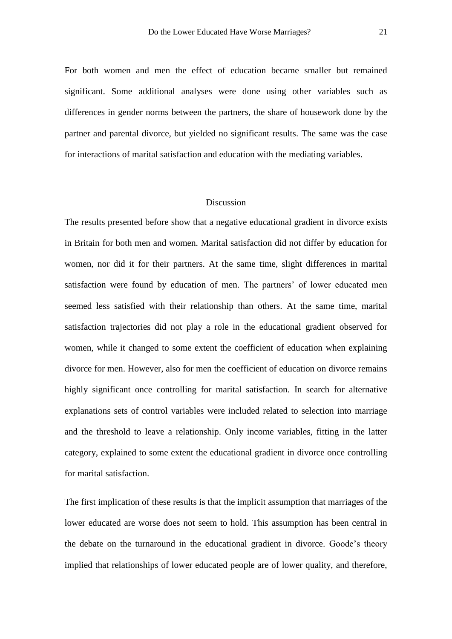For both women and men the effect of education became smaller but remained significant. Some additional analyses were done using other variables such as differences in gender norms between the partners, the share of housework done by the partner and parental divorce, but yielded no significant results. The same was the case for interactions of marital satisfaction and education with the mediating variables.

#### Discussion

The results presented before show that a negative educational gradient in divorce exists in Britain for both men and women. Marital satisfaction did not differ by education for women, nor did it for their partners. At the same time, slight differences in marital satisfaction were found by education of men. The partners' of lower educated men seemed less satisfied with their relationship than others. At the same time, marital satisfaction trajectories did not play a role in the educational gradient observed for women, while it changed to some extent the coefficient of education when explaining divorce for men. However, also for men the coefficient of education on divorce remains highly significant once controlling for marital satisfaction. In search for alternative explanations sets of control variables were included related to selection into marriage and the threshold to leave a relationship. Only income variables, fitting in the latter category, explained to some extent the educational gradient in divorce once controlling for marital satisfaction.

The first implication of these results is that the implicit assumption that marriages of the lower educated are worse does not seem to hold. This assumption has been central in the debate on the turnaround in the educational gradient in divorce. Goode"s theory implied that relationships of lower educated people are of lower quality, and therefore,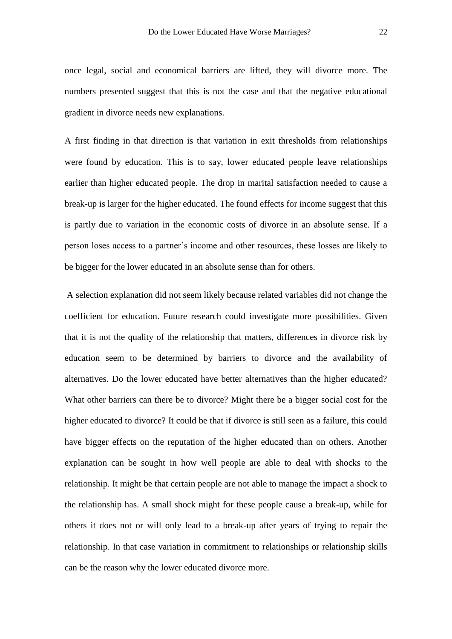once legal, social and economical barriers are lifted, they will divorce more. The numbers presented suggest that this is not the case and that the negative educational gradient in divorce needs new explanations.

A first finding in that direction is that variation in exit thresholds from relationships were found by education. This is to say, lower educated people leave relationships earlier than higher educated people. The drop in marital satisfaction needed to cause a break-up is larger for the higher educated. The found effects for income suggest that this is partly due to variation in the economic costs of divorce in an absolute sense. If a person loses access to a partner"s income and other resources, these losses are likely to be bigger for the lower educated in an absolute sense than for others.

A selection explanation did not seem likely because related variables did not change the coefficient for education. Future research could investigate more possibilities. Given that it is not the quality of the relationship that matters, differences in divorce risk by education seem to be determined by barriers to divorce and the availability of alternatives. Do the lower educated have better alternatives than the higher educated? What other barriers can there be to divorce? Might there be a bigger social cost for the higher educated to divorce? It could be that if divorce is still seen as a failure, this could have bigger effects on the reputation of the higher educated than on others. Another explanation can be sought in how well people are able to deal with shocks to the relationship. It might be that certain people are not able to manage the impact a shock to the relationship has. A small shock might for these people cause a break-up, while for others it does not or will only lead to a break-up after years of trying to repair the relationship. In that case variation in commitment to relationships or relationship skills can be the reason why the lower educated divorce more.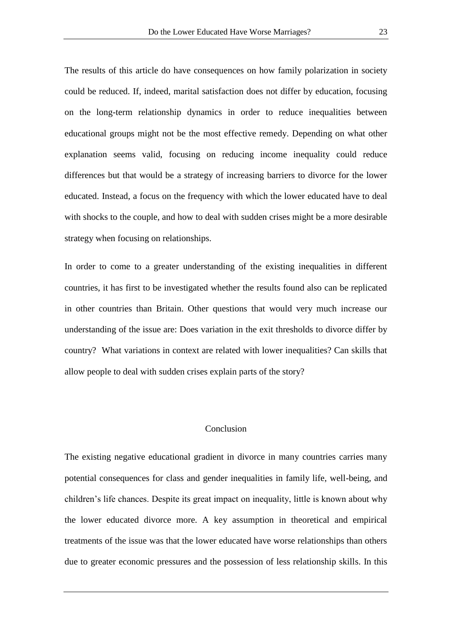The results of this article do have consequences on how family polarization in society could be reduced. If, indeed, marital satisfaction does not differ by education, focusing on the long-term relationship dynamics in order to reduce inequalities between educational groups might not be the most effective remedy. Depending on what other explanation seems valid, focusing on reducing income inequality could reduce differences but that would be a strategy of increasing barriers to divorce for the lower educated. Instead, a focus on the frequency with which the lower educated have to deal with shocks to the couple, and how to deal with sudden crises might be a more desirable strategy when focusing on relationships.

In order to come to a greater understanding of the existing inequalities in different countries, it has first to be investigated whether the results found also can be replicated in other countries than Britain. Other questions that would very much increase our understanding of the issue are: Does variation in the exit thresholds to divorce differ by country? What variations in context are related with lower inequalities? Can skills that allow people to deal with sudden crises explain parts of the story?

## Conclusion

The existing negative educational gradient in divorce in many countries carries many potential consequences for class and gender inequalities in family life, well-being, and children"s life chances. Despite its great impact on inequality, little is known about why the lower educated divorce more. A key assumption in theoretical and empirical treatments of the issue was that the lower educated have worse relationships than others due to greater economic pressures and the possession of less relationship skills. In this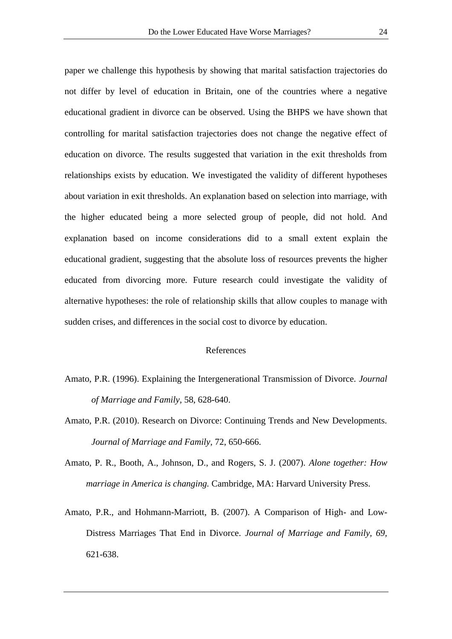paper we challenge this hypothesis by showing that marital satisfaction trajectories do not differ by level of education in Britain, one of the countries where a negative educational gradient in divorce can be observed. Using the BHPS we have shown that controlling for marital satisfaction trajectories does not change the negative effect of education on divorce. The results suggested that variation in the exit thresholds from relationships exists by education. We investigated the validity of different hypotheses about variation in exit thresholds. An explanation based on selection into marriage, with the higher educated being a more selected group of people, did not hold. And explanation based on income considerations did to a small extent explain the educational gradient, suggesting that the absolute loss of resources prevents the higher educated from divorcing more. Future research could investigate the validity of alternative hypotheses: the role of relationship skills that allow couples to manage with sudden crises, and differences in the social cost to divorce by education.

## References

- Amato, P.R. (1996). Explaining the Intergenerational Transmission of Divorce. *Journal of Marriage and Family,* 58, 628-640.
- Amato, P.R. (2010). Research on Divorce: Continuing Trends and New Developments. *Journal of Marriage and Family,* 72, 650-666.
- Amato, P. R., Booth, A., Johnson, D., and Rogers, S. J. (2007). *Alone together: How marriage in America is changing.* Cambridge, MA: Harvard University Press.
- Amato, P.R., and Hohmann-Marriott, B. (2007). A Comparison of High- and Low-Distress Marriages That End in Divorce. *Journal of Marriage and Family, 69,*  621-638.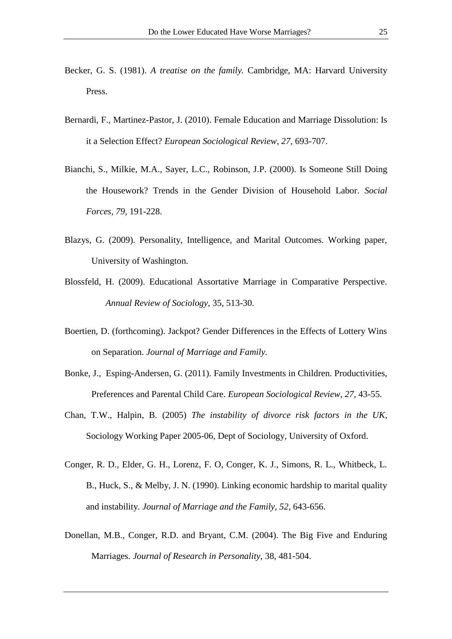- Becker, G. S. (1981). *A treatise on the family.* Cambridge, MA: Harvard University Press.
- Bernardi, F., Martinez-Pastor, J. (2010). Female Education and Marriage Dissolution: Is it a Selection Effect? *European Sociological Review, 27,* 693-707.
- Bianchi, S., Milkie, M.A., Sayer, L.C., Robinson, J.P. (2000). Is Someone Still Doing the Housework? Trends in the Gender Division of Household Labor. *Social Forces, 79,* 191-228.
- Blazys, G. (2009). Personality, Intelligence, and Marital Outcomes. Working paper, University of Washington.
- Blossfeld, H. (2009). Educational Assortative Marriage in Comparative Perspective. *Annual Review of Sociology,* 35, 513-30.
- Boertien, D. (forthcoming). Jackpot? Gender Differences in the Effects of Lottery Wins on Separation. *Journal of Marriage and Family.*
- Bonke, J., Esping-Andersen, G. (2011). Family Investments in Children. Productivities, Preferences and Parental Child Care. *European Sociological Review, 27,* 43-55.
- Chan, T.W., Halpin, B. (2005) *The instability of divorce risk factors in the UK*, Sociology Working Paper 2005-06, Dept of Sociology, University of Oxford.
- Conger, R. D., Elder, G. H., Lorenz, F. O, Conger, K. J., Simons, R. L., Whitbeck, L. B., Huck, S., & Melby, J. N. (1990). Linking economic hardship to marital quality and instability. *Journal of Marriage and the Family, 52,* 643-656.
- Donellan, M.B., Conger, R.D. and Bryant, C.M. (2004). The Big Five and Enduring Marriages. *Journal of Research in Personality,* 38, 481-504.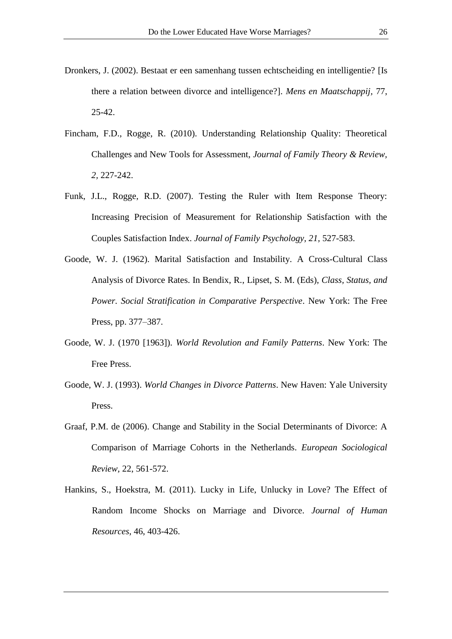- Dronkers, J. (2002). Bestaat er een samenhang tussen echtscheiding en intelligentie? [Is there a relation between divorce and intelligence?]. *Mens en Maatschappij,* 77, 25-42.
- Fincham, F.D., Rogge, R. (2010). Understanding Relationship Quality: Theoretical Challenges and New Tools for Assessment, *Journal of Family Theory & Review, 2,* 227-242.
- Funk, J.L., Rogge, R.D. (2007). Testing the Ruler with Item Response Theory: Increasing Precision of Measurement for Relationship Satisfaction with the Couples Satisfaction Index. *Journal of Family Psychology, 21,* 527-583.
- Goode, W. J. (1962). Marital Satisfaction and Instability. A Cross-Cultural Class Analysis of Divorce Rates. In Bendix, R., Lipset, S. M. (Eds), *Class, Status, and Power. Social Stratification in Comparative Perspective*. New York: The Free Press, pp. 377–387.
- Goode, W. J. (1970 [1963]). *World Revolution and Family Patterns*. New York: The Free Press.
- Goode, W. J. (1993). *World Changes in Divorce Patterns*. New Haven: Yale University Press.
- Graaf, P.M. de (2006). Change and Stability in the Social Determinants of Divorce: A Comparison of Marriage Cohorts in the Netherlands. *European Sociological Review,* 22, 561-572.
- Hankins, S., Hoekstra, M. (2011). Lucky in Life, Unlucky in Love? The Effect of Random Income Shocks on Marriage and Divorce. *Journal of Human Resources*, 46, 403-426.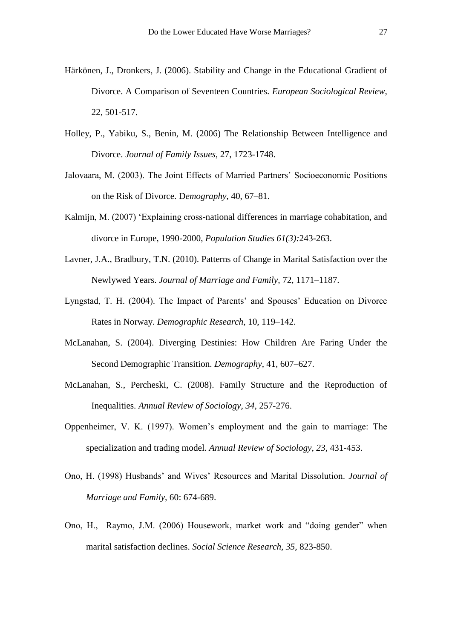- Härkönen, J., Dronkers, J. (2006). Stability and Change in the Educational Gradient of Divorce. A Comparison of Seventeen Countries. *European Sociological Review,*  22, 501-517.
- Holley, P., Yabiku, S., Benin, M. (2006) The Relationship Between Intelligence and Divorce. *Journal of Family Issues,* 27, 1723-1748.
- Jalovaara, M. (2003). The Joint Effects of Married Partners" Socioeconomic Positions on the Risk of Divorce. D*emography*, 40, 67–81.
- Kalmijn, M. (2007) "Explaining cross-national differences in marriage cohabitation, and divorce in Europe, 1990-2000, *Population Studies 61(3):*243-263.
- Lavner, J.A., Bradbury, T.N. (2010). Patterns of Change in Marital Satisfaction over the Newlywed Years. *Journal of Marriage and Family,* 72, 1171–1187.
- Lyngstad, T. H. (2004). The Impact of Parents' and Spouses' Education on Divorce Rates in Norway. *Demographic Research*, 10, 119–142.
- McLanahan, S. (2004). Diverging Destinies: How Children Are Faring Under the Second Demographic Transition. *Demography*, 41, 607–627.
- McLanahan, S., Percheski, C. (2008). Family Structure and the Reproduction of Inequalities. *Annual Review of Sociology, 34,* 257-276.
- Oppenheimer, V. K. (1997). Women"s employment and the gain to marriage: The specialization and trading model. *Annual Review of Sociology, 23,* 431-453.
- Ono, H. (1998) Husbands" and Wives" Resources and Marital Dissolution. *Journal of Marriage and Family,* 60: 674-689.
- Ono, H., Raymo, J.M. (2006) Housework, market work and "doing gender" when marital satisfaction declines. *Social Science Research, 35,* 823-850.